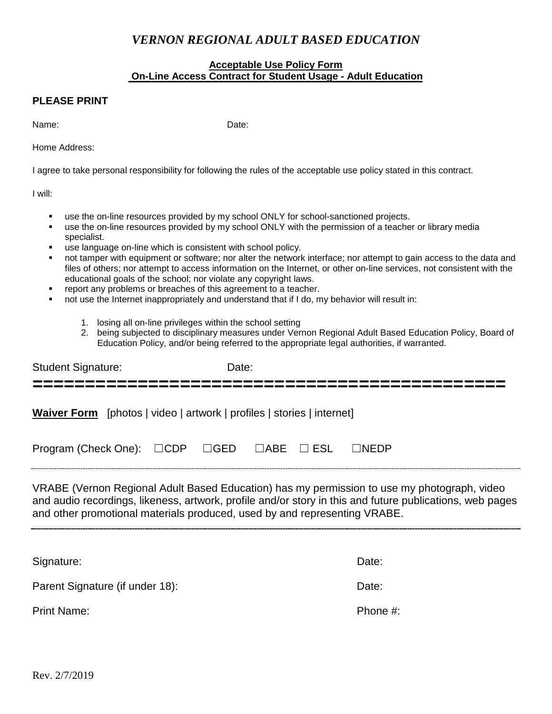## *VERNON REGIONAL ADULT BASED EDUCATION*

## **Acceptable Use Policy Form On-Line Access Contract for Student Usage - Adult Education**

## **PLEASE PRINT**

Name: Contract the Contract of the Date:

Home Address:

I agree to take personal responsibility for following the rules of the acceptable use policy stated in this contract.

I will:

- use the on-line resources provided by my school ONLY for school-sanctioned projects.
- use the on-line resources provided by my school ONLY with the permission of a teacher or library media specialist.
- use language on-line which is consistent with school policy.
- not tamper with equipment or software; nor alter the network interface; nor attempt to gain access to the data and files of others; nor attempt to access information on the Internet, or other on-line services, not consistent with the educational goals of the school; nor violate any copyright laws.
- report any problems or breaches of this agreement to a teacher.
- not use the Internet inappropriately and understand that if I do, my behavior will result in:
	- 1. losing all on-line privileges within the school setting
	- 2. being subjected to disciplinary measures under Vernon Regional Adult Based Education Policy, Board of Education Policy, and/or being referred to the appropriate legal authorities, if warranted.

| <b>Student Signature:</b>                                              | Date: |                                                                      |
|------------------------------------------------------------------------|-------|----------------------------------------------------------------------|
| Waiver Form [photos   video   artwork   profiles   stories   internet] |       |                                                                      |
| Program (Check One): □CDP □GED □ABE □ ESL □NEDP                        |       |                                                                      |
|                                                                        |       | VIDADE ALCO CIDILLA LICDICI EL CIU ALCO CONTINUATIONI I INCIDENTALE. |

VRABE (Vernon Regional Adult Based Education) has my permission to use my photograph, video and audio recordings, likeness, artwork, profile and/or story in this and future publications, web pages and other promotional materials produced, used by and representing VRABE.

Signature: **Date: Date: Date: Date: Date: Date: Date: Date: Date: Date: Date: Date: Date: Date: Date: Date: Date: Date: Date: Date: Date: Date: Date: Date: Date: Date: Da** Parent Signature (if under 18): Date: Date: Print Name: Phone #: